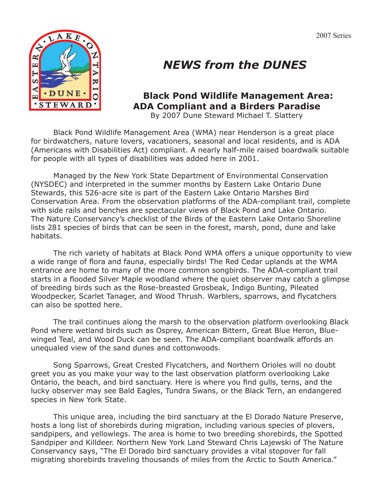2007 Series



## *NEWS from the DUNES*

## **Black Pond Wildlife Management Area: ADA Compliant and a Birders Paradise**

By 2007 Dune Steward Michael T. Slattery

 Black Pond Wildlife Management Area (WMA) near Henderson is a great place for birdwatchers, nature lovers, vacationers, seasonal and local residents, and is ADA (Americans with Disabilities Act) compliant. A nearly half-mile raised boardwalk suitable for people with all types of disabilities was added here in 2001.

 Managed by the New York State Department of Environmental Conservation (NYSDEC) and interpreted in the summer months by Eastern Lake Ontario Dune Stewards, this 526-acre site is part of the Eastern Lake Ontario Marshes Bird Conservation Area. From the observation platforms of the ADA-compliant trail, complete with side rails and benches are spectacular views of Black Pond and Lake Ontario. The Nature Conservancy's checklist of the Birds of the Eastern Lake Ontario Shoreline lists 281 species of birds that can be seen in the forest, marsh, pond, dune and lake habitats.

 The rich variety of habitats at Black Pond WMA offers a unique opportunity to view a wide range of flora and fauna, especially birds! The Red Cedar uplands at the WMA entrance are home to many of the more common songbirds. The ADA-compliant trail starts in a flooded Silver Maple woodland where the quiet observer may catch a glimpse of breeding birds such as the Rose-breasted Grosbeak, Indigo Bunting, Pileated Woodpecker, Scarlet Tanager, and Wood Thrush. Warblers, sparrows, and flycatchers can also be spotted here.

 The trail continues along the marsh to the observation platform overlooking Black Pond where wetland birds such as Osprey, American Bittern, Great Blue Heron, Bluewinged Teal, and Wood Duck can be seen. The ADA-compliant boardwalk affords an unequaled view of the sand dunes and cottonwoods.

Song Sparrows, Great Crested Flycatchers, and Northern Orioles will no doubt greet you as you make your way to the last observation platform overlooking Lake Ontario, the beach, and bird sanctuary. Here is where you find gulls, terns, and the lucky observer may see Bald Eagles, Tundra Swans, or the Black Tern, an endangered species in New York State.

 This unique area, including the bird sanctuary at the El Dorado Nature Preserve, hosts a long list of shorebirds during migration, including various species of plovers, sandpipers, and yellowlegs. The area is home to two breeding shorebirds, the Spotted Sandpiper and Killdeer. Northern New York Land Steward Chris Lajewski of The Nature Conservancy says, "The El Dorado bird sanctuary provides a vital stopover for fall migrating shorebirds traveling thousands of miles from the Arctic to South America."